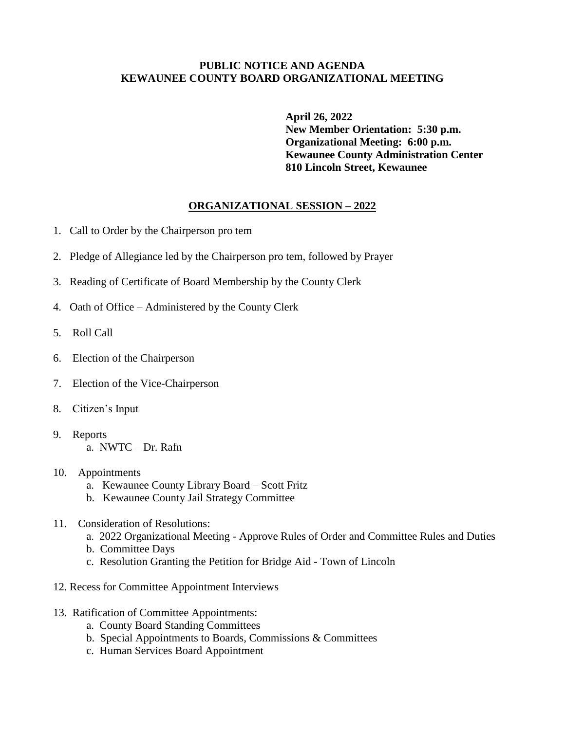## **PUBLIC NOTICE AND AGENDA KEWAUNEE COUNTY BOARD ORGANIZATIONAL MEETING**

**April 26, 2022 New Member Orientation: 5:30 p.m. Organizational Meeting: 6:00 p.m. Kewaunee County Administration Center 810 Lincoln Street, Kewaunee**

## **ORGANIZATIONAL SESSION – 2022**

- 1. Call to Order by the Chairperson pro tem
- 2. Pledge of Allegiance led by the Chairperson pro tem, followed by Prayer
- 3. Reading of Certificate of Board Membership by the County Clerk
- 4. Oath of Office Administered by the County Clerk
- 5. Roll Call
- 6. Election of the Chairperson
- 7. Election of the Vice-Chairperson
- 8. Citizen's Input
- 9. Reports a. NWTC – Dr. Rafn
- 10. Appointments
	- a. Kewaunee County Library Board Scott Fritz
	- b. Kewaunee County Jail Strategy Committee
- 11. Consideration of Resolutions:
	- a. 2022 Organizational Meeting Approve Rules of Order and Committee Rules and Duties
	- b. Committee Days
	- c. Resolution Granting the Petition for Bridge Aid Town of Lincoln
- 12. Recess for Committee Appointment Interviews
- 13. Ratification of Committee Appointments:
	- a. County Board Standing Committees
	- b. Special Appointments to Boards, Commissions & Committees
	- c. Human Services Board Appointment